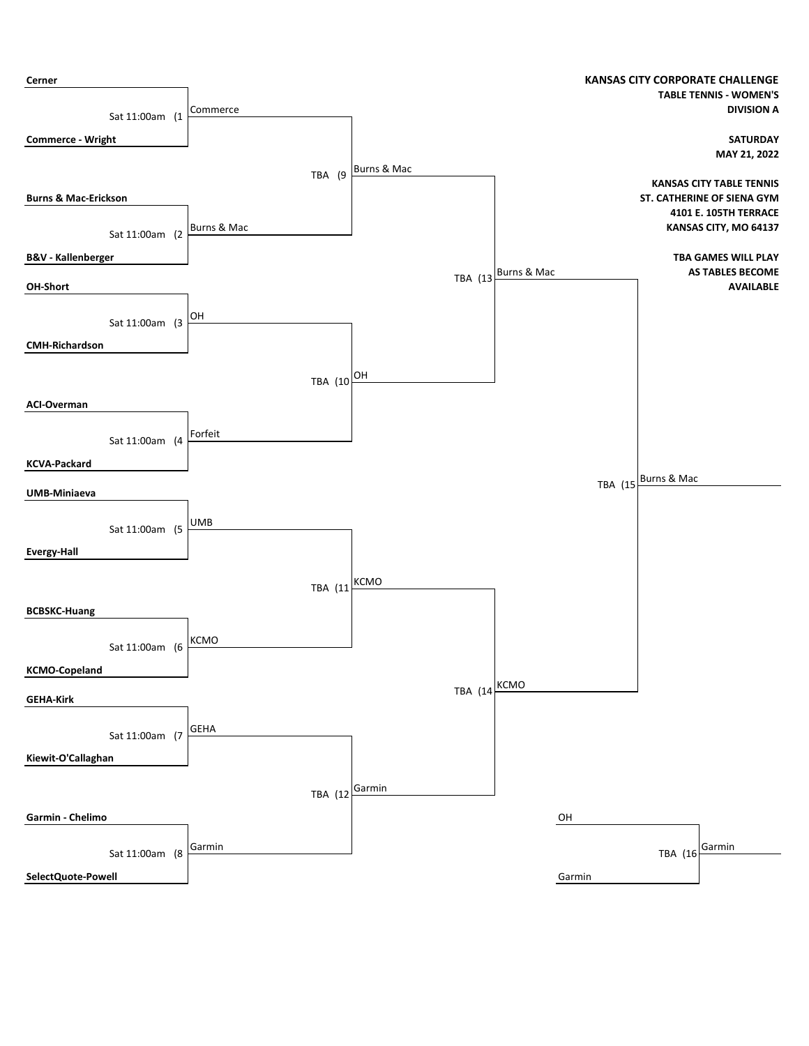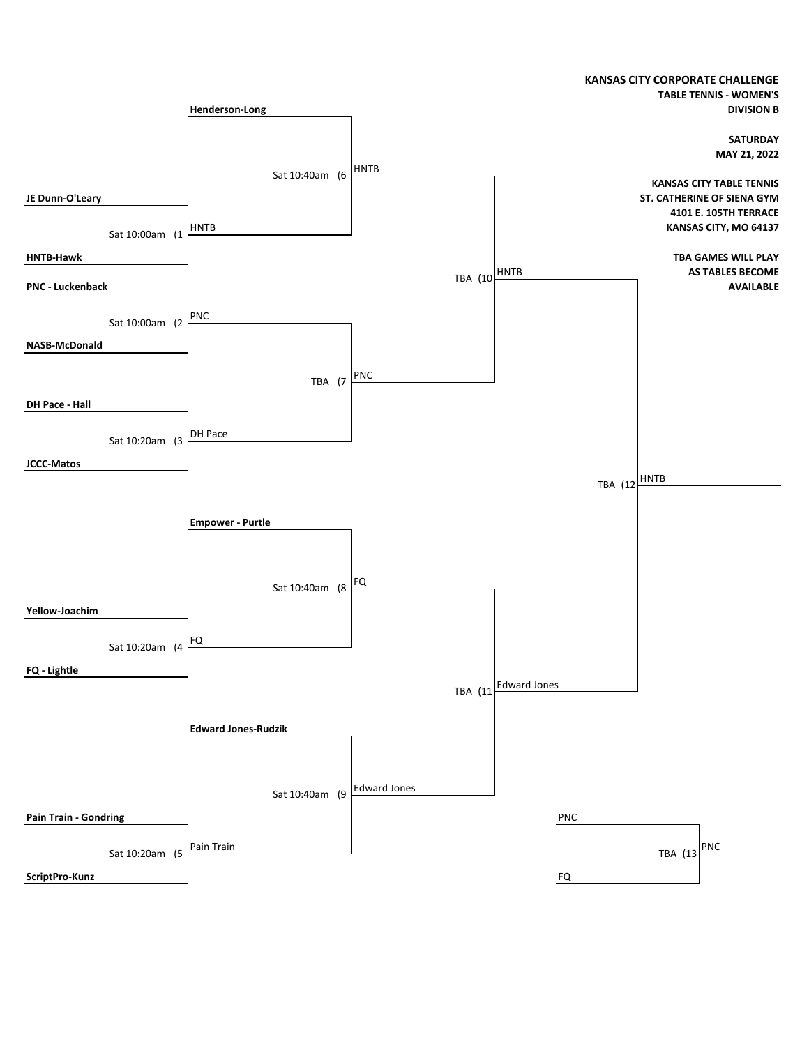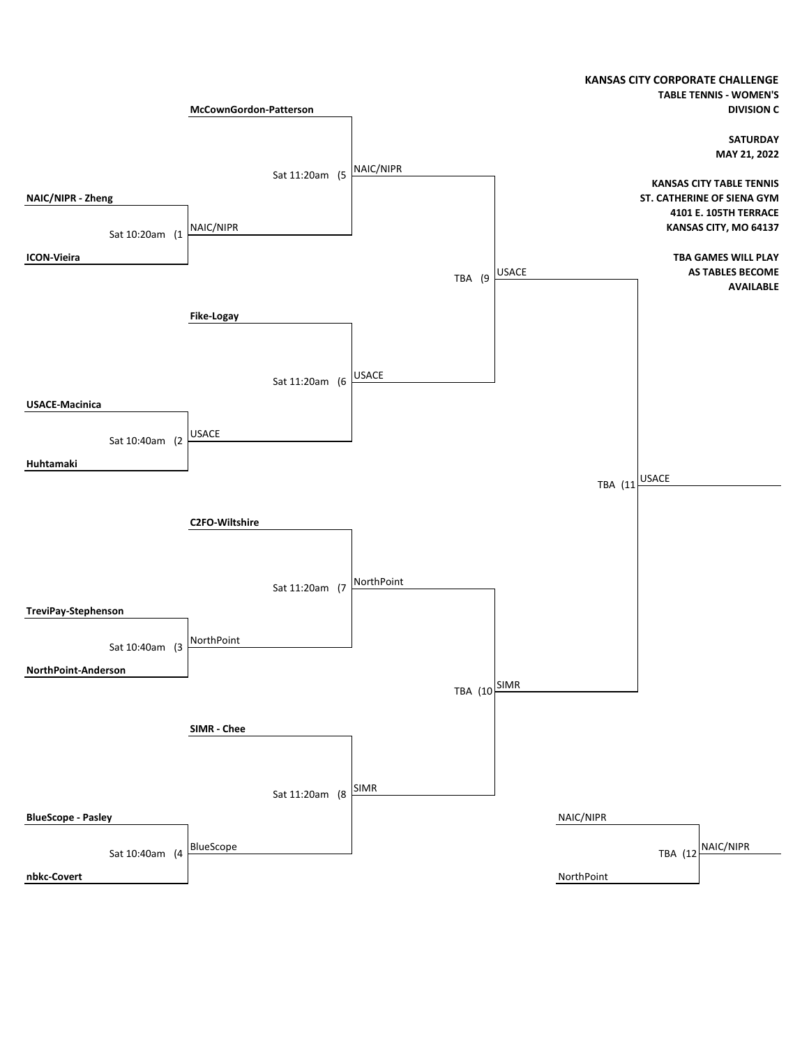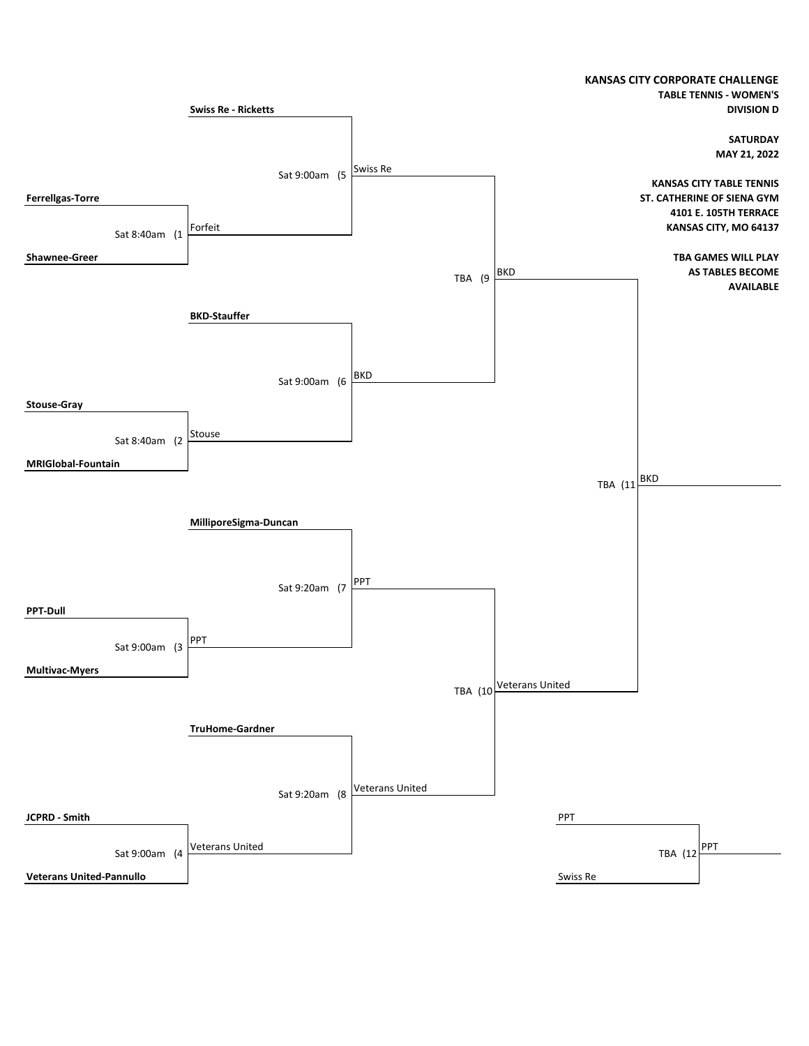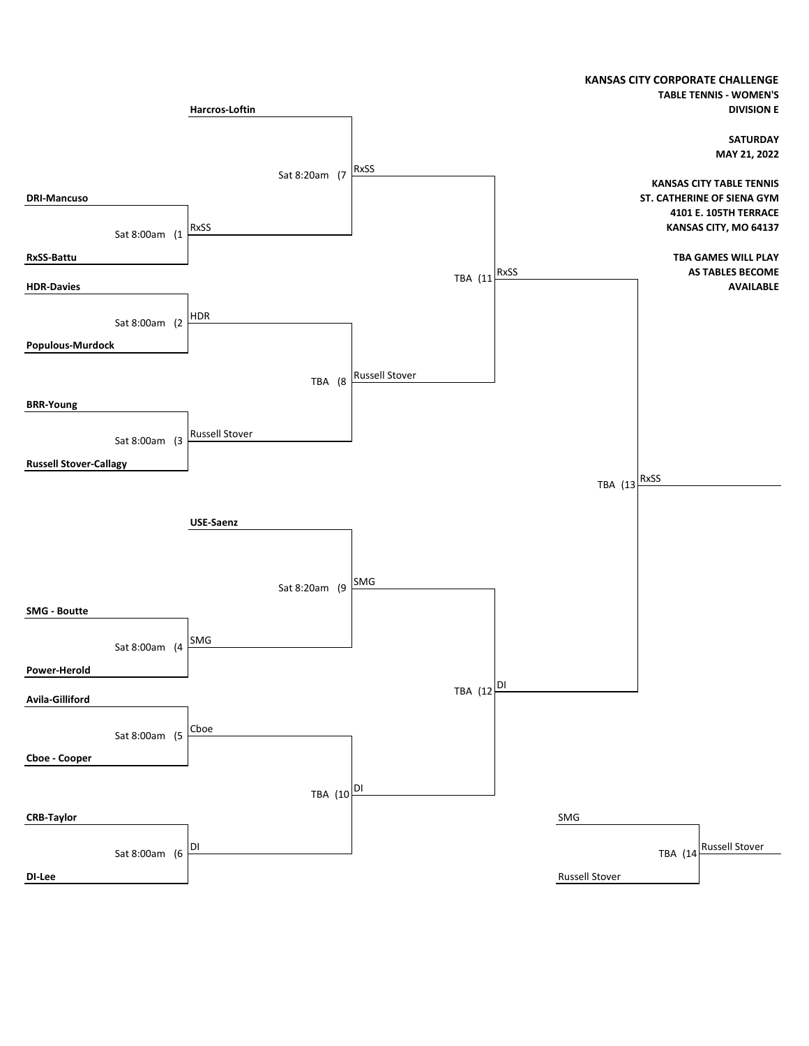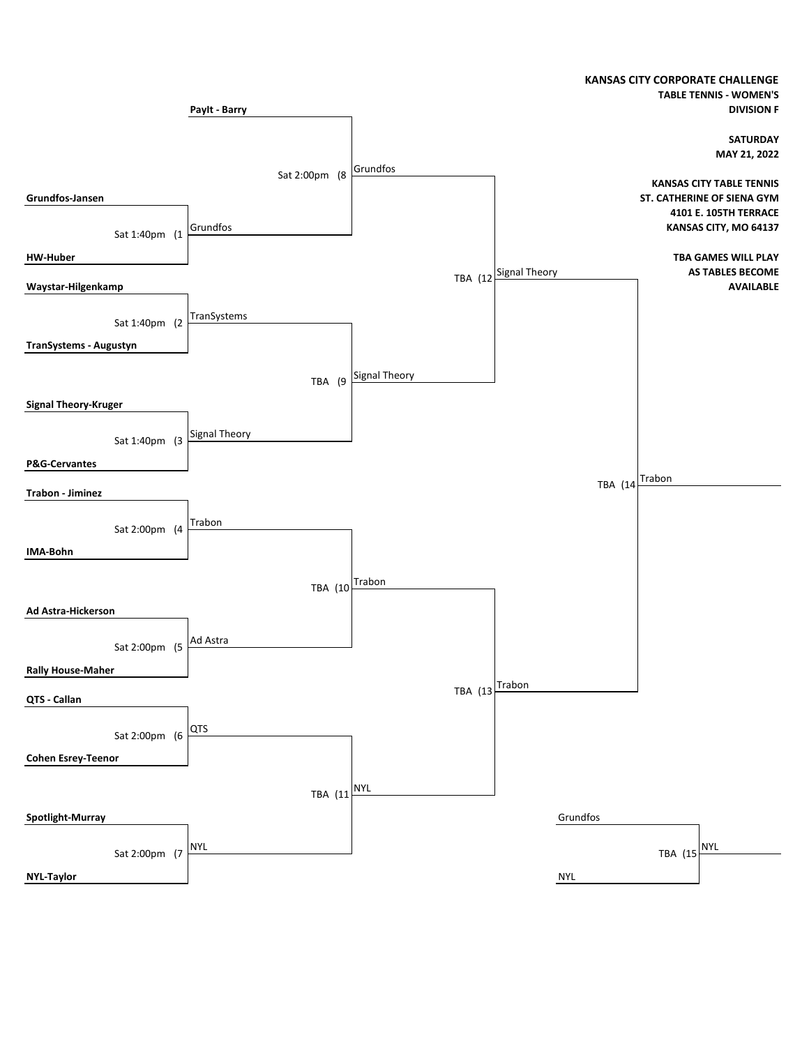